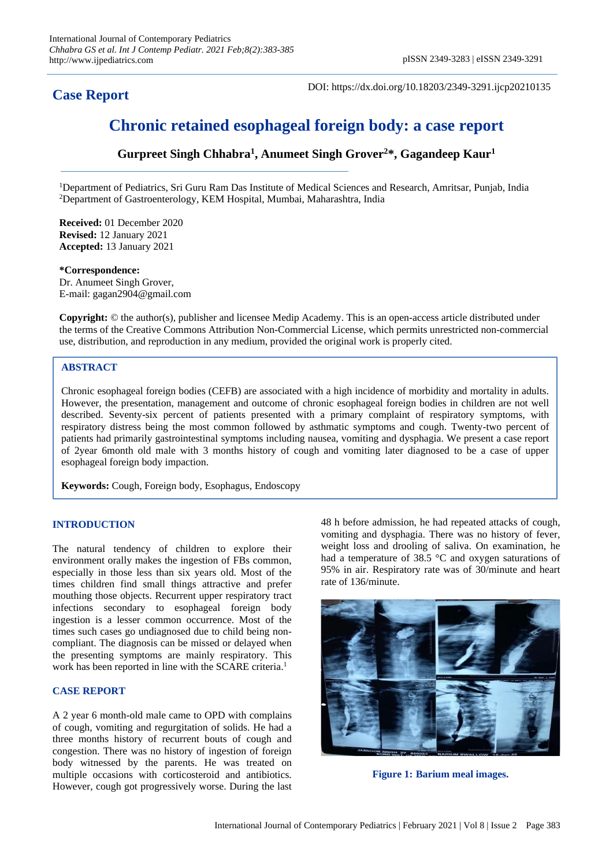# **Case Report**

DOI: https://dx.doi.org/10.18203/2349-3291.ijcp20210135

# **Chronic retained esophageal foreign body: a case report**

**Gurpreet Singh Chhabra<sup>1</sup> , Anumeet Singh Grover<sup>2</sup>\*, Gagandeep Kaur<sup>1</sup>**

<sup>1</sup>Department of Pediatrics, Sri Guru Ram Das Institute of Medical Sciences and Research, Amritsar, Punjab, India <sup>2</sup>Department of Gastroenterology, KEM Hospital, Mumbai, Maharashtra, India

**Received:** 01 December 2020 **Revised:** 12 January 2021 **Accepted:** 13 January 2021

#### **\*Correspondence:**

Dr. Anumeet Singh Grover, E-mail: gagan2904@gmail.com

**Copyright:** © the author(s), publisher and licensee Medip Academy. This is an open-access article distributed under the terms of the Creative Commons Attribution Non-Commercial License, which permits unrestricted non-commercial use, distribution, and reproduction in any medium, provided the original work is properly cited.

# **ABSTRACT**

Chronic esophageal foreign bodies (CEFB) are associated with a high incidence of morbidity and mortality in adults. However, the presentation, management and outcome of chronic esophageal foreign bodies in children are not well described. Seventy-six percent of patients presented with a primary complaint of respiratory symptoms, with respiratory distress being the most common followed by asthmatic symptoms and cough. Twenty-two percent of patients had primarily gastrointestinal symptoms including nausea, vomiting and dysphagia. We present a case report of 2year 6month old male with 3 months history of cough and vomiting later diagnosed to be a case of upper esophageal foreign body impaction.

**Keywords:** Cough, Foreign body, Esophagus, Endoscopy

# **INTRODUCTION**

The natural tendency of children to explore their environment orally makes the ingestion of FBs common, especially in those less than six years old. Most of the times children find small things attractive and prefer mouthing those objects. Recurrent upper respiratory tract infections secondary to esophageal foreign body ingestion is a lesser common occurrence. Most of the times such cases go undiagnosed due to child being noncompliant. The diagnosis can be missed or delayed when the presenting symptoms are mainly respiratory. This work has been reported in line with the SCARE criteria. 1

### **CASE REPORT**

A 2 year 6 month-old male came to OPD with complains of cough, vomiting and regurgitation of solids. He had a three months history of recurrent bouts of cough and congestion. There was no history of ingestion of foreign body witnessed by the parents. He was treated on multiple occasions with corticosteroid and antibiotics. However, cough got progressively worse. During the last 48 h before admission, he had repeated attacks of cough, vomiting and dysphagia. There was no history of fever, weight loss and drooling of saliva. On examination, he had a temperature of 38.5 °C and oxygen saturations of 95% in air. Respiratory rate was of 30/minute and heart rate of 136/minute.



**Figure 1: Barium meal images.**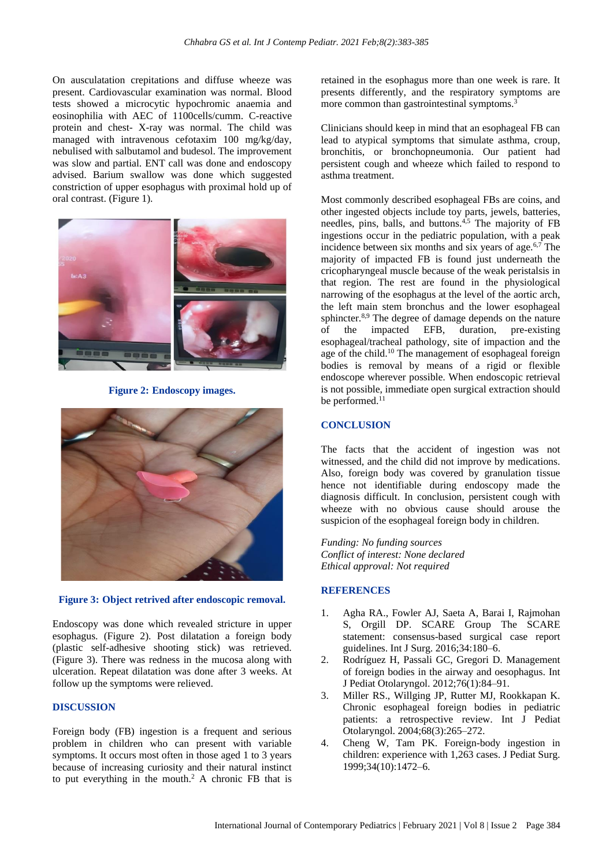On ausculatation crepitations and diffuse wheeze was present. Cardiovascular examination was normal. Blood tests showed a microcytic hypochromic anaemia and eosinophilia with AEC of 1100cells/cumm. C-reactive protein and chest- X-ray was normal. The child was managed with intravenous cefotaxim 100 mg/kg/day, nebulised with salbutamol and budesol. The improvement was slow and partial. ENT call was done and endoscopy advised. Barium swallow was done which suggested constriction of upper esophagus with proximal hold up of oral contrast. (Figure 1).



**Figure 2: Endoscopy images.**



**Figure 3: Object retrived after endoscopic removal.**

Endoscopy was done which revealed stricture in upper esophagus. (Figure 2). Post dilatation a foreign body (plastic self-adhesive shooting stick) was retrieved. (Figure 3). There was redness in the mucosa along with ulceration. Repeat dilatation was done after 3 weeks. At follow up the symptoms were relieved.

#### **DISCUSSION**

Foreign body (FB) ingestion is a frequent and serious problem in children who can present with variable symptoms. It occurs most often in those aged 1 to 3 years because of increasing curiosity and their natural instinct to put everything in the mouth.<sup>2</sup> A chronic FB that is retained in the esophagus more than one week is rare. It presents differently, and the respiratory symptoms are more common than gastrointestinal symptoms.<sup>3</sup>

Clinicians should keep in mind that an esophageal FB can lead to atypical symptoms that simulate asthma, croup, bronchitis, or bronchopneumonia. Our patient had persistent cough and wheeze which failed to respond to asthma treatment.

Most commonly described esophageal FBs are coins, and other ingested objects include toy parts, jewels, batteries, needles, pins, balls, and buttons. 4,5 The majority of FB ingestions occur in the pediatric population, with a peak incidence between six months and six years of age. $6.7$  The majority of impacted FB is found just underneath the cricopharyngeal muscle because of the weak peristalsis in that region. The rest are found in the physiological narrowing of the esophagus at the level of the aortic arch, the left main stem bronchus and the lower esophageal sphincter.8,9 The degree of damage depends on the nature of the impacted EFB, duration, pre-existing esophageal/tracheal pathology, site of impaction and the age of the child. <sup>10</sup> The management of esophageal foreign bodies is removal by means of a rigid or flexible endoscope wherever possible. When endoscopic retrieval is not possible, immediate open surgical extraction should be performed.<sup>11</sup>

## **CONCLUSION**

The facts that the accident of ingestion was not witnessed, and the child did not improve by medications. Also, foreign body was covered by granulation tissue hence not identifiable during endoscopy made the diagnosis difficult. In conclusion, persistent cough with wheeze with no obvious cause should arouse the suspicion of the esophageal foreign body in children.

*Funding: No funding sources Conflict of interest: None declared Ethical approval: Not required*

#### **REFERENCES**

- 1. Agha RA., Fowler AJ, Saeta A, Barai I, Rajmohan S, Orgill DP. SCARE Group The SCARE statement: consensus-based surgical case report guidelines. Int J Surg. 2016;34:180–6.
- 2. Rodríguez H, Passali GC, Gregori D. Management of foreign bodies in the airway and oesophagus. Int J Pediat Otolaryngol. 2012;76(1):84–91.
- 3. Miller RS., Willging JP, Rutter MJ, Rookkapan K. Chronic esophageal foreign bodies in pediatric patients: a retrospective review. Int J Pediat Otolaryngol. 2004;68(3):265–272.
- 4. Cheng W, Tam PK. Foreign-body ingestion in children: experience with 1,263 cases. J Pediat Surg. 1999;34(10):1472–6.